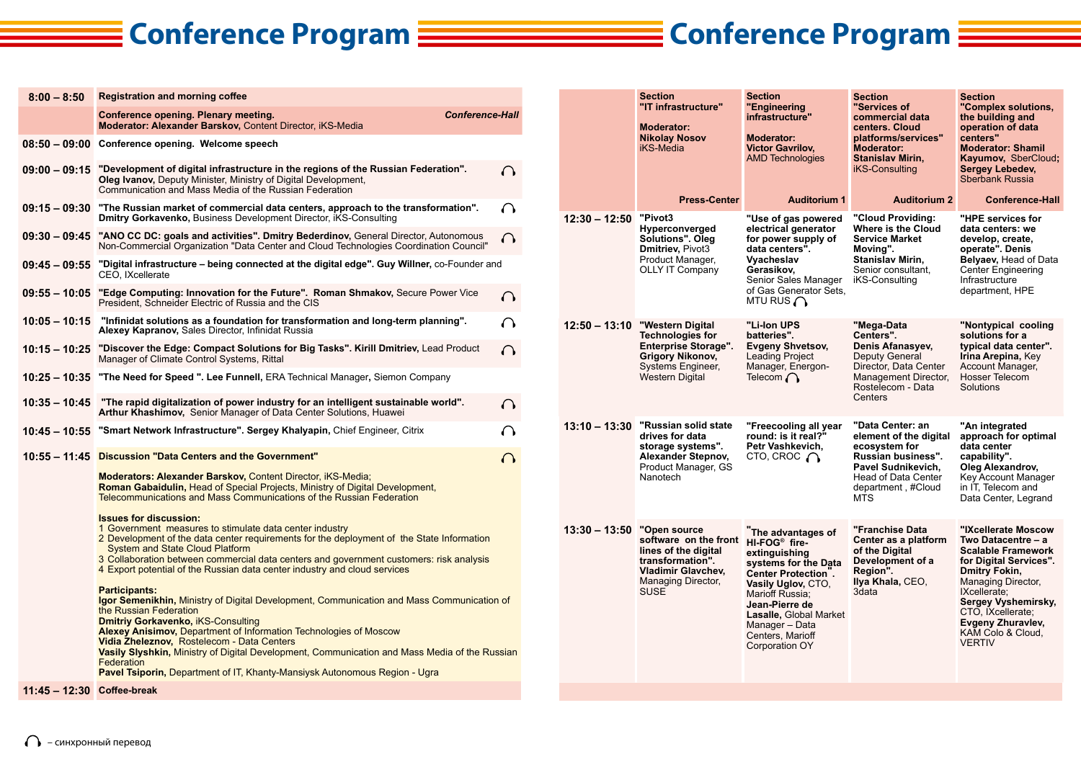## **Conference Program Conference Program**

**Section "IT infrastructure"**

**Moderator: Nikolay Nosov** iKS-Media

**Section "Engineering infrastructure" Moderator: Victor Gavrilov,** 

**Section "Services of commercial data centers. Cloud platforms/services" Moderator:** 

**Section** 

**"Complex solutions, the building and operation of data centers" Moderator: Shamil** 

| $8:00 - 8:50$              | <b>Registration and morning coffee</b>                                                                                                                                                                                                                                                                                                                                                                                                                                                                                        |   |  |  |
|----------------------------|-------------------------------------------------------------------------------------------------------------------------------------------------------------------------------------------------------------------------------------------------------------------------------------------------------------------------------------------------------------------------------------------------------------------------------------------------------------------------------------------------------------------------------|---|--|--|
|                            | <b>Conference-Hall</b><br>Conference opening. Plenary meeting.<br>Moderator: Alexander Barskov, Content Director, iKS-Media                                                                                                                                                                                                                                                                                                                                                                                                   |   |  |  |
|                            | 08:50 - 09:00 Conference opening. Welcome speech                                                                                                                                                                                                                                                                                                                                                                                                                                                                              |   |  |  |
|                            | 09:00 – 09:15 "Development of digital infrastructure in the regions of the Russian Federation".<br><b>Oleg Ivanov, Deputy Minister, Ministry of Digital Development,</b><br>Communication and Mass Media of the Russian Federation                                                                                                                                                                                                                                                                                            | 6 |  |  |
|                            | 09:15 - 09:30 "The Russian market of commercial data centers, approach to the transformation".<br><b>Dmitry Gorkavenko, Business Development Director, iKS-Consulting</b>                                                                                                                                                                                                                                                                                                                                                     |   |  |  |
|                            | 09:30 - 09:45 "ANO CC DC: goals and activities". Dmitry Bederdinov, General Director, Autonomous<br>Non-Commercial Organization "Data Center and Cloud Technologies Coordination Council"                                                                                                                                                                                                                                                                                                                                     |   |  |  |
|                            | 09:45 - 09:55 "Digital infrastructure - being connected at the digital edge". Guy Willner, co-Founder and<br>CEO, IXcellerate                                                                                                                                                                                                                                                                                                                                                                                                 |   |  |  |
|                            | 09:55 - 10:05 "Edge Computing: Innovation for the Future". Roman Shmakov, Secure Power Vice<br>President, Schneider Electric of Russia and the CIS                                                                                                                                                                                                                                                                                                                                                                            |   |  |  |
| 10.05 – 10.15              | "Infinidat solutions as a foundation for transformation and long-term planning".<br><b>Alexey Kapranov, Sales Director, Infinidat Russia</b>                                                                                                                                                                                                                                                                                                                                                                                  |   |  |  |
|                            | 10:15 - 10:25 "Discover the Edge: Compact Solutions for Big Tasks". Kirill Dmitriev, Lead Product<br>Manager of Climate Control Systems, Rittal                                                                                                                                                                                                                                                                                                                                                                               |   |  |  |
|                            | 10:25 - 10:35 "The Need for Speed ". Lee Funnell, ERA Technical Manager, Siemon Company                                                                                                                                                                                                                                                                                                                                                                                                                                       |   |  |  |
|                            | 10:35 – 10:45 The rapid digitalization of power industry for an intelligent sustainable world".<br><b>Arthur Khashimov, Senior Manager of Data Center Solutions, Huawei</b>                                                                                                                                                                                                                                                                                                                                                   |   |  |  |
|                            | 10:45 - 10:55 "Smart Network Infrastructure". Sergey Khalyapin, Chief Engineer, Citrix                                                                                                                                                                                                                                                                                                                                                                                                                                        |   |  |  |
|                            | 10:55 - 11:45 Discussion "Data Centers and the Government"                                                                                                                                                                                                                                                                                                                                                                                                                                                                    |   |  |  |
|                            | Moderators: Alexander Barskov, Content Director, iKS-Media;<br><b>Roman Gabaidulin, Head of Special Projects, Ministry of Digital Development,</b><br>Telecommunications and Mass Communications of the Russian Federation                                                                                                                                                                                                                                                                                                    |   |  |  |
|                            | <b>Issues for discussion:</b><br>1 Government measures to stimulate data center industry<br>2 Development of the data center requirements for the deployment of the State Information<br><b>System and State Cloud Platform</b><br>3 Collaboration between commercial data centers and government customers: risk analysis<br>4 Export potential of the Russian data center industry and cloud services                                                                                                                       |   |  |  |
|                            | <b>Participants:</b><br><b>Igor Semenikhin, Ministry of Digital Development, Communication and Mass Communication of</b><br>the Russian Federation<br><b>Dmitriy Gorkavenko, iKS-Consulting</b><br><b>Alexey Anisimov, Department of Information Technologies of Moscow</b><br>Vidia Zheleznov, Rostelecom - Data Centers<br>Vasily Slyshkin, Ministry of Digital Development, Communication and Mass Media of the Russian<br>Federation<br><b>Pavel Tsiporin, Department of IT, Khanty-Mansiysk Autonomous Region - Ugra</b> |   |  |  |
| 11:45 - 12:30 Coffee-break |                                                                                                                                                                                                                                                                                                                                                                                                                                                                                                                               |   |  |  |

|                 | <b>Press-Center</b>                                                                                                                                 | <b>AMD Technologies</b><br><b>Auditorium 1</b>                                                                                                                                                                                                                    | <b>Stanislav Mirin,</b><br>iKS-Consulting<br><b>Auditorium 2</b>                                                                                            | Kayumov, SberCloud;<br><b>Sergey Lebedev,</b><br>Sberbank Russia<br><b>Conference-Hall</b>                                                                                                                                                                     |
|-----------------|-----------------------------------------------------------------------------------------------------------------------------------------------------|-------------------------------------------------------------------------------------------------------------------------------------------------------------------------------------------------------------------------------------------------------------------|-------------------------------------------------------------------------------------------------------------------------------------------------------------|----------------------------------------------------------------------------------------------------------------------------------------------------------------------------------------------------------------------------------------------------------------|
| 12:30 – 12:50   | "Pivot3<br><b>Hyperconverged</b><br>Solutions". Oleg<br>Dmitriev, Pivot3<br>Product Manager,<br><b>OLLY IT Company</b>                              | "Use of gas powered<br>electrical generator<br>for power supply of<br>data centers".<br>Vyacheslav<br>Gerasikov,<br>Senior Sales Manager<br>of Gas Generator Sets,<br>MTU RUS $\bigcap$                                                                           | "Cloud Providing:<br>Where is the Cloud<br><b>Service Market</b><br>Moving".<br><b>Stanislav Mirin.</b><br>Senior consultant.<br>iKS-Consulting             | "HPE services for<br>data centers: we<br>develop, create,<br>operate". Denis<br>Belyaev, Head of Data<br><b>Center Engineering</b><br>Infrastructure<br>department, HPE                                                                                        |
| $12:50 - 13:10$ | "Western Digital<br><b>Technologies for</b><br><b>Enterprise Storage".</b><br><b>Grigory Nikonov,</b><br>Systems Engineer,<br>Western Digital       | "Li-Ion UPS<br>batteries".<br><b>Evgeny Shvetsov,</b><br>Leading Project<br>Manager, Energon-<br>Telecom $\bigcap$                                                                                                                                                | "Mega-Data<br>Centers".<br>Denis Afanasyev,<br><b>Deputy General</b><br>Director, Data Center<br>Management Director,<br>Rostelecom - Data<br>Centers       | "Nontypical cooling<br>solutions for a<br>typical data center".<br>Irina Arepina, Key<br>Account Manager,<br>Hosser Telecom<br>Solutions                                                                                                                       |
| $13:10 - 13:30$ | "Russian solid state<br>drives for data<br>storage systems".<br>Alexander Stepnov,<br>Product Manager, GS<br>Nanotech                               | "Freecooling all year<br>round: is it real?"<br>Petr Vashkevich.<br>CTO, CROC $\bigcap$                                                                                                                                                                           | "Data Center: an<br>element of the digital<br>ecosystem for<br>Russian business".<br>Pavel Sudnikevich.<br>Head of Data Center<br>department, #Cloud<br>MTS | "An integrated<br>approach for optimal<br>data center<br>capability".<br>Oleg Alexandrov,<br>Key Account Manager<br>in IT, Telecom and<br>Data Center, Legrand                                                                                                 |
| $13:30 - 13:50$ | "Open source<br>software on the front<br>lines of the digital<br>transformation".<br><b>Vladimir Glavchev,</b><br>Managing Director,<br><b>SUSE</b> | The advantages of<br>HI-FOG <sup>®</sup> fire-<br>extinguishing<br>systems for the Data<br>Center Protection.<br>Vasily Uglov, CTO,<br>Marioff Russia:<br>Jean-Pierre de<br>Lasalle, Global Market<br>Manager - Data<br>Centers, Marioff<br><b>Corporation OY</b> | "Franchise Data<br>Center as a platform<br>of the Digital<br>Development of a<br>Region".<br>Ilya Khala, CEO,<br>3data                                      | "IXcellerate Moscow<br>Two Datacentre - a<br><b>Scalable Framework</b><br>for Digital Services".<br>Dmitry Fokin,<br>Managing Director,<br>IXcellerate:<br>Sergey Vyshemirsky,<br>CTO, IXcellerate;<br>Evgeny Zhuravlev,<br>KAM Colo & Cloud,<br><b>VERTIV</b> |